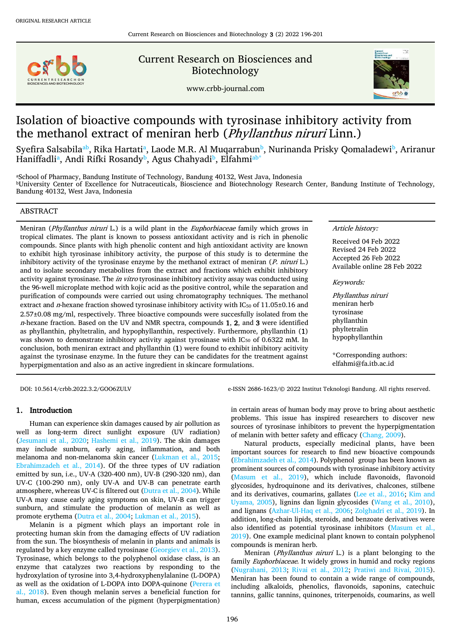

Current Research on Biosciences and Biotechnology





# Isolation of bioactive compounds with tyrosinase inhibitory activity from the methanol extract of meniran herb (Phyllanthus niruri Linn.)

Syefira Sals[ab](#page-0-0)[i](#page-0-0)la<sup>a[b](#page-0-0)</sup>, Rika Hartati<sup>a</sup>, Laode M.R. Al Muqarrabun<sup>b</sup>, Nurinanda Prisky Qomaladewi<sup>b</sup>, Ariranur H[a](#page-0-0)niffadliª, Andi Rifki Rosandy<sup>[b](#page-0-0)</sup>, Agus Chahyadi<sup>b</sup>, Elfahmiª<sup>b[\\*](#page-0-1)</sup>

<span id="page-0-0"></span>aSchool of Pharmacy, Bandung Institute of Technology, Bandung 40132, West Java, Indonesia <sup>b</sup>University Center of Excellence for Nutraceuticals, Bioscience and Biotechnology Research Center, Bandung Institute of Technology, Bandung 40132, West Java, Indonesia

## ABSTRACT

Meniran (*Phyllanthus niruri L.*) is a wild plant in the *Euphorbiaceae* family which grows in tropical climates. The plant is known to possess antioxidant activity and is rich in phenolic compounds. Since plants with high phenolic content and high antioxidant activity are known to exhibit high tyrosinase inhibitory activity, the purpose of this study is to determine the inhibitory activity of the tyrosinase enzyme by the methanol extract of meniran  $(P.$  niruri L.) and to isolate secondary metabolites from the extract and fractions which exhibit inhibitory activity against tyrosinase. The *in vitro* tyrosinase inhibitory activity assay was conducted using the 96-well microplate method with kojic acid as the positive control, while the separation and purification of compounds were carried out using chromatography techniques. The methanol extract and n-hexane fraction showed tyrosinase inhibitory activity with IC<sub>50</sub> of 11.05±0.16 and 2.57±0.08 mg/ml, respectively. Three bioactive compounds were succesfully isolated from the  $n$ -hexane fraction. Based on the UV and NMR spectra, compounds 1, 2, and 3 were identified as phyllanthin, phyltetralin, and hypophyllanthin, respectively. Furthermore, phyllanthin (1) was shown to demonstrate inhibitory activity against tyrosinase with IC<sub>50</sub> of 0.6322 mM. In conclusion, both meniran extract and phyllanthin (1) were found to exhibit inhibitory acitivity against the tyrosinase enzyme. In the future they can be candidates for the treatment against hyperpigmentation and also as an active ingredient in skincare formulations.

Article history:

Received 04 Feb 2022 Revised 24 Feb 2022 Accepted 26 Feb 2022 Available online 28 Feb 2022

Keywords:

Phyllanthus niruri meniran herb tyrosinase phyllanthin phyltetralin hypophyllanthin

<span id="page-0-1"></span>\*Corresponding authors: elfahmi@fa.itb.ac.id

DOI: 10.5614/crbb.2022.3.2/GOO6ZULV e-ISSN 2686-1623/© 2022 Institut Teknologi Bandung. All rights reserved.

# 1. Introduction

Human can experience skin damages caused by air pollution as well as long-term direct sunlight exposure (UV radiation) [\(Jesumani et al., 2020;](#page-5-0) [Hashemi et al., 2019\)](#page-5-1). The skin damages may include sunburn, early aging, inflammation, and both melanoma and non-melanoma skin cancer [\(Lukman et al., 2015;](#page-5-2) [Ebrahimzadeh et al., 2014\)](#page-5-3). Of the three types of UV radiation emitted by sun, i.e., UV-A (320-400 nm), UV-B (290-320 nm), dan UV-C (100-290 nm), only UV-A and UV-B can penetrate earth atmosphere, whereas UV-C is filtered out [\(Dutra et al., 2004\)](#page-5-4). While UV-A may cause early aging symptoms on skin, UV-B can trigger sunburn, and stimulate the production of melanin as well as promote erythema [\(Dutra et al., 2004;](#page-5-4) [Lukman et al., 2015\)](#page-5-2).

Melanin is a pigment which plays an important role in protecting human skin from the damaging effects of UV radiation from the sun. The biosynthesis of melanin in plants and animals is regulated by a key enzyme called tyrosinase [\(Georgiev et al., 2013\)](#page-5-5). Tyrosinase, which belongs to the polyphenol oxidase class, is an enzyme that catalyzes two reactions by responding to the hydroxylation of tyrosine into 3,4-hydroxyphenylalanine (L-DOPA) as well as the oxidation of L-DOPA into DOPA-quinone [\(Perera et](#page-5-6)  [al., 2018\)](#page-5-6). Even though melanin serves a beneficial function for human, excess accumulation of the pigment (hyperpigmentation) in certain areas of human body may prove to bring about aesthetic problems. This issue has inspired researchers to discover new sources of tyrosinase inhibitors to prevent the hyperpigmentation of melanin with better safety and efficacy [\(Chang, 2009\)](#page-5-7).

Natural products, especially medicinal plants, have been important sources for research to find new bioactive compounds [\(Ebrahimzadeh et al., 2014\)](#page-5-3). Polyphenol group has been known as prominent sources of compounds with tyrosinase inhibitory activity [\(Masum et al., 2019\)](#page-5-8), which include flavonoids, flavonoid glycosides, hydroquinone and its derivatives, chalcones, stilbene and its derivatives, coumarins, gallates [\(Lee et al., 2016;](#page-5-9) [Kim and](#page-5-10)  [Uyama, 2005\)](#page-5-10), lignins dan lignin glycosides [\(Wang et al., 2010\)](#page-5-11), and lignans [\(Azhar-Ul-Haq et al., 2006;](#page-5-12) [Zolghadri et al., 2019\)](#page-5-13). In addition, long-chain lipids, steroids, and benzoate derivatives were also identified as potential tyrosinase inhibitors [\(Masum et al.,](#page-5-8)  [2019\)](#page-5-8). One example medicinal plant known to contain polyphenol compounds is meniran herb.

Meniran (Phyllanthus niruri L.) is a plant belonging to the family *Euphorbiaceae*. It widely grows in humid and rocky regions [\(Nugrahani, 2013;](#page-5-14) [Rivai et al., 2012;](#page-5-15) [Pratiwi and Rivai, 2015\)](#page-5-16). Meniran has been found to contain a wide range of compounds, including alkaloids, phenolics, flavonoids, saponins, catechuic tannins, gallic tannins, quinones, triterpenoids, coumarins, as well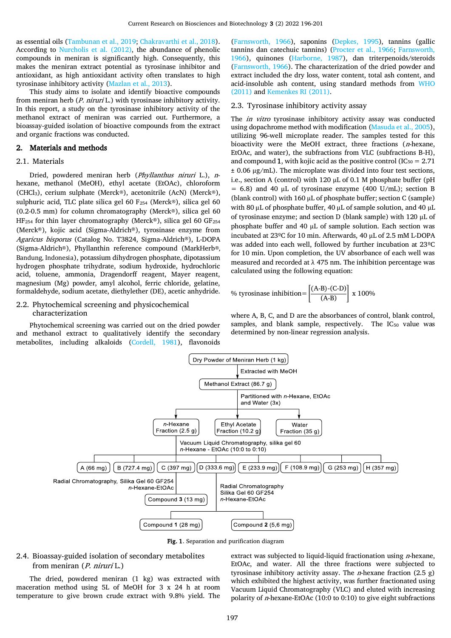as essential oils [\(Tambunan et al., 2019;](#page-5-17) [Chakravarthi et al., 2018\)](#page-5-18). According to [Nurcholis et al. \(2012\),](#page-5-19) the abundance of phenolic compounds in meniran is significantly high. Consequently, this makes the meniran extract potential as tyrosinase inhibitor and antioxidant, as high antioxidant activity often translates to high tyrosinase inhibitory activity [\(Mazlan et al., 2013\)](#page-5-20).

This study aims to isolate and identify bioactive compounds from meniran herb (P. niruri L.) with tyrosinase inhibitory activity. In this report, a study on the tyrosinase inhibitory activity of the methanol extract of meniran was carried out. Furthermore, a bioassay-guided isolation of bioactive compounds from the extract and organic fractions was conducted.

# 2. Materials and methods

## 2.1. Materials

Dried, powdered meniran herb (Phyllanthus niruri L.), nhexane, methanol (MeOH), ethyl acetate (EtOAc), chloroform (CHCl3), cerium sulphate (Merck®), acetonitrile (AcN) (Merck®), sulphuric acid, TLC plate silica gel 60 F<sub>254</sub> (Merck®), silica gel 60 (0.2-0.5 mm) for column chromatography (Merck®), silica gel 60 HF<sub>254</sub> for thin layer chromatography (Merck®), silica gel 60 GF<sub>254</sub> (Merck®), kojic acid (Sigma-Aldrich®), tyrosinase enzyme from Agaricus bisporus (Catalog No. T3824, Sigma-Aldrich®), L-DOPA (Sigma-Aldrich®), Phyllanthin reference compound (MarkHerb®, Bandung, Indonesia), potassium dihydrogen phosphate, dipotassium hydrogen phosphate trihydrate, sodium hydroxide, hydrochloric acid, toluene, ammonia, Dragendorff reagent, Mayer reagent, magnesium (Mg) powder, amyl alcohol, ferric chloride, gelatine, formaldehyde, sodium acetate, diethylether (DE), acetic anhydride.

## 2.2. Phytochemical screening and physicochemical characterization

Phytochemical screening was carried out on the dried powder and methanol extract to qualitatively identify the secondary metabolites, including alkaloids [\(Cordell, 1981\)](#page-5-21), flavonoids [\(Farnsworth, 1966\)](#page-5-22), saponins [\(Depkes, 1995\)](#page-5-23), tannins (gallic tannins dan catechuic tannins) [\(Procter et al., 1966;](#page-5-24) [Farnsworth,](#page-5-22)  [1966\)](#page-5-22), quinones [\(Harborne, 1987\)](#page-5-25), dan triterpenoids/steroids [\(Farnsworth, 1966\)](#page-5-22). The characterization of the dried powder and extract included the dry loss, water content, total ash content, and acid-insoluble ash content, using standard methods from [WHO](#page-5-26)  [\(2011\)](#page-5-26) an[d Kemenkes RI \(2011\).](#page-5-27)

## 2.3. Tyrosinase inhibitory activity assay

The *in vitro* tyrosinase inhibitory activity assay was conducted using dopachrome method with modification [\(Masuda et al., 2005\)](#page-5-28), utilizing 96-well microplate reader. The samples tested for this bioactivity were the MeOH extract, three fractions (n-hexane, EtOAc, and water), the subfractions from VLC (subfractions B-H), and compound 1, with kojic acid as the positive control (IC $_{50}$  = 2.71)  $\pm$  0.06 μg/mL). The microplate was divided into four test sections, i.e., section A (control) with 120  $\mu$ L of 0.1 M phosphate buffer (pH  $= 6.8$ ) and 40 µL of tyrosinase enzyme (400 U/mL); section B (blank control) with 160 µL of phosphate buffer; section C (sample) with 80 µL of phosphate buffer, 40 µL of sample solution, and 40 µL of tyrosinase enzyme; and section D (blank sample) with 120 µL of phosphate buffer and 40 µL of sample solution. Each section was incubated at 23ºC for 10 min. Afterwards, 40 µL of 2.5 mM L-DOPA was added into each well, followed by further incubation at 23ºC for 10 min. Upon completion, the UV absorbance of each well was measured and recorded at λ 475 nm. The inhibition percentage was calculated using the following equation:

% tyrosinase inhibition=
$$
\left[\frac{(A-B)-(C-D)}{(A-B)}\right] x 100\%
$$

where A, B, C, and D are the absorbances of control, blank control, samples, and blank sample, respectively. The IC<sub>50</sub> value was determined by non-linear regression analysis.



Fig. 1. Separation and purification diagram

# 2.4. Bioassay-guided isolation of secondary metabolites from meniran (P. niruri L.)

The dried, powdered meniran (1 kg) was extracted with maceration method using 5L of MeOH for 3 x 24 h at room temperature to give brown crude extract with 9.8% yield. The extract was subjected to liquid-liquid fractionation using  $n$ -hexane, EtOAc, and water. All the three fractions were subjected to tyrosinase inhibitory activity assay. The *n*-hexane fraction  $(2.5 \text{ g})$ which exhibited the highest activity, was further fractionated using Vacuum Liquid Chromatography (VLC) and eluted with increasing polarity of n-hexane-EtOAc (10:0 to 0:10) to give eight subfractions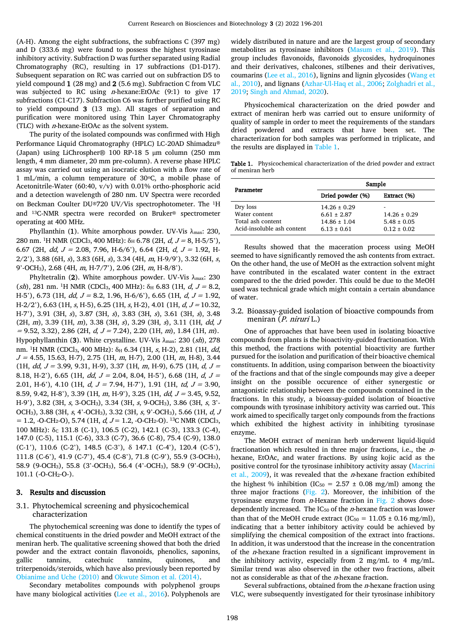(A-H). Among the eight subfractions, the subfractions C (397 mg) and D (333.6 mg) were found to possess the highest tyrosinase inhibitory activity. Subfraction D was further separated using Radial Chromatography (RC), resulting in 17 subfractions (D1-D17). Subsequent separation on RC was carried out on subfraction D5 to yield compound 1 (28 mg) and 2 (5.6 mg). Subfraction C from VLC was subjected to RC using n-hexane:EtOAc (9:1) to give 17 subfractions (C1-C17). Subfraction C6 was further purified using RC to yield compound 3 (13 mg). All stages of separation and purification were monitored using Thin Layer Chromatography (TLC) with  $n$ -hexane-EtOAc as the solvent system.

The purity of the isolated compounds was confirmed with High Performance Liquid Chromatography (HPLC) LC-20AD Shimadzu® (Japan) using LiChrospher® 100 RP-18 5 μm column (250 mm length, 4 mm diameter, 20 mm pre-column). A reverse phase HPLC assay was carried out using an isocratic elution with a flow rate of 1 mL/min, a column temperature of 30°C, a mobile phase of Acetonitrile-Water (60:40, v/v) with 0.01% ortho-phosphoric acid and a detection wavelength of 280 nm. UV Spectra were recorded on Beckman Coulter DU®720 UV/Vis spectrophotometer. The 1H and 13C-NMR spectra were recorded on Bruker® spectrometer operating at 400 MHz.

Phyllanthin (1). White amorphous powder. UV-Vis  $\lambda_{\text{max}}$ : 230, 280 nm. <sup>1</sup>H NMR (CDCl<sub>3</sub>, 400 MHz):  $\delta_H$  6.78 (2H, *d, J* = 8, H-5/5'), 6.67 (2H, *dd, J* = 2.08, 7.96, H-6/6'), 6.64 (2H, *d, J* = 1.92, H- $2/2$ '), 3.88 (6H, s), 3.83 (6H, s), 3.34 (4H, m, H-9/9'), 3.32 (6H, s, 9'-OCH3), 2.68 (4H, m, H-7/7'), 2.06 (2H, m, H-8/8').

Phyltetralin (2). White amorphous powder. UV-Vis  $\lambda_{\text{max}}$ : 230 (sh), 281 nm. <sup>1</sup>H NMR (CDCl<sub>3</sub>, 400 MHz):  $\delta$ <sub>H</sub> 6.83 (1H, d,  $J = 8.2$ , H-5'), 6.73 (1H,  $dd, J = 8.2, 1.96, H-6/6$ '), 6.65 (1H,  $d, J = 1.92$ , H-2/2'), 6.63 (1H, s, H-5), 6.25 (1H, s, H-2), 4.01 (1H,  $d, J = 10.32$ , H-7'), 3.91 (3H, s), 3.87 (3H, s), 3.83 (3H, s), 3.61 (3H, s), 3.48 (2H, m), 3.39 (1H, m), 3.38 (3H, s), 3.29 (3H, s), 3.11 (1H, dd, <sup>J</sup>  $= 9.52, 3.32$ ), 2.86 (2H,  $d, J = 7.24$ ), 2.20 (1H, m), 1.84 (1H, m). Hypophyllanthin (3). White crystalline. UV-Vis  $\lambda_{\text{max}}$ : 230 (sh), 278 nm. <sup>1</sup>H NMR (CDCl<sub>3</sub>, 400 MHz):  $\delta_H$  6.34 (1H, s, H-2), 2.81 (1H, dd,  $J = 4.55, 15.63, H-7$ , 2.75 (1H, m, H-7), 2.00 (1H, m, H-8), 3.44 (1H,  $dd, J = 3.99, 9.31, H-9$ ), 3.37 (1H, m, H-9), 6.75 (1H,  $d, J =$ 8.18, H-2'), 6.65 (1H, *dd, J =* 2.04, 8.04, H-5'), 6.68 (1H, *d, J =* 2.01, H-6'), 4.10 (1H,  $d, J = 7.94$ , H-7'), 1.91 (1H,  $td, J = 3.90$ , 8.59, 9.42, H-8'), 3.39 (1H,  $m$ , H-9'), 3.25 (1H,  $dd$ ,  $J = 3.45$ , 9.52, H-9'), 3.82 (3H, s, 3-OCH3), 3.34 (3H, s, 9-OCH3), 3.86 (3H, s, 3'- OCH3), 3.88 (3H, s, 4'-OCH3), 3.32 (3H, s, 9'-OCH3), 5.66 (1H, d, <sup>J</sup>  $= 1.2, -0\text{-}CH_2\text{-}O$ , 5.74 (1H,  $d, J = 1.2, -0\text{-}CH_2\text{-}O$ ). <sup>13</sup>C NMR (CDCl<sub>3</sub>,  $100$  MHz):  $\delta$ <sub>C</sub> 131.8 (C-1), 106.5 (C-2), 142.1 (C-3), 133.3 (C-4), 147.0 (C-5), 115.1 (C-6), 33.3 (C-7), 36.6 (C-8), 75.4 (C-9), 138.0 (C-1'), 110.6 (C-2'), 148.5 (C-3'), δ 147.1 (C-4'), 120.4 (C-5'), 111.8 (C-6'), 41.9 (C-7'), 45.4 (C-8'), 71.8 (C-9'), 55.9 (3-OCH3), 58.9 (9-OCH3), 55.8 (3'-OCH3), 56.4 (4'-OCH3), 58.9 (9'-OCH3), 101.1 (-O-CH2-O-).

## 3. Results and discussion

#### 3.1. Phytochemical screening and physicochemical characterization

The phytochemical screening was done to identify the types of chemical constituents in the dried powder and MeOH extract of the meniran herb. The qualitative screening showed that both the dried powder and the extract contain flavonoids, phenolics, saponins, gallic tannins, catechuic tannins, quinones, and triterpenoids/steroids, which have also previously been reported by [Obianime and Uche \(2010\)](#page-5-29) and [Okwute Simon et al. \(2014\).](#page-5-30)

Secondary metabolites compounds with polyphenol groups have many biological activities [\(Lee et al., 2016\)](#page-5-9). Polyphenols are widely distributed in nature and are the largest group of secondary metabolites as tyrosinase inhibitors [\(Masum et al., 2019\)](#page-5-8). This group includes flavonoids, flavonoids glycosides, hydroquinones and their derivatives, chalcones, stilbenes and their derivatives, coumarins [\(Lee et al., 2016\)](#page-5-9), lignins and lignin glycosides [\(Wang et](#page-5-11)  [al., 2010\)](#page-5-11), and lignans [\(Azhar-Ul-Haq et al., 2006;](#page-5-12) [Zolghadri et al.,](#page-5-13)  [2019;](#page-5-13) [Singh and Ahmad, 2020\)](#page-5-31).

Physicochemical characterization on the dried powder and extract of meniran herb was carried out to ensure uniformity of quality of sample in order to meet the requirements of the standars dried powdered and extracts that have been set. The characterization for both samples was performed in triplicate, and the results are displayed i[n Table 1.](#page-2-0)

<span id="page-2-0"></span>Table 1. Physicochemical characterization of the dried powder and extract of meniran herb

| Parameter                                                                    | Sample                                                                     |                                                        |
|------------------------------------------------------------------------------|----------------------------------------------------------------------------|--------------------------------------------------------|
|                                                                              | Dried powder (%)                                                           | Extract (%)                                            |
| Dry loss<br>Water content<br>Total ash content<br>Acid-insoluble ash content | $14.26 \pm 0.29$<br>$6.61 \pm 2.87$<br>$14.86 \pm 1.04$<br>$6.13 \pm 0.61$ | $14.26 \pm 0.29$<br>$5.48 \pm 0.05$<br>$0.12 \pm 0.02$ |

Results showed that the maceration process using MeOH seemed to have significantly removed the ash contents from extract. On the other hand, the use of MeOH as the extraction solvent might have contributed in the escalated water content in the extract compared to the the dried powder. This could be due to the MeOH used was technical grade which might contain a certain abundance of water.

## 3.2. Bioassay-guided isolation of bioactive compounds from meniran (P. niruri L.)

One of approaches that have been used in isolating bioactive compounds from plants is the bioactivity-guided fractionation. With this method, the fractions with potential bioactivity are further pursued for the isolation and purification of their bioactive chemical constituents. In addition, using comparison between the bioactivity of the fractions and that of the single compounds may give a deeper insight on the possible occurence of either synergestic or antagonistic relationship between the compounds contained in the fractions. In this study, a bioassay-guided isolation of bioactive compounds with tyrosinase inhibitory activity was carried out. This work aimed to specifically target only compounds from the fractions which exhibited the highest activity in inhibiting tyrosinase enzyme.

The MeOH extract of meniran herb underwent liquid-liquid fractionation which resulted in three major fractions, i.e., the nhexane, EtOAc, and water fractions. By using kojic acid as the positive control for the tyrosinase inhibitory activity assay [\(Macrini](#page-5-32)  et al.,  $2009$ ), it was revealed that the *n*-hexane fraction exhibited the highest % inhibition (IC<sub>50</sub> = 2.57  $\pm$  0.08 mg/ml) among the three major fractions [\(Fig.](#page-3-0) 2). Moreover, the inhibition of the tyrosinase enzyme from  $n$ -Hexane fraction in [Fig.](#page-3-0) 2 shows dosedependently increased. The IC $_{50}$  of the *n*-hexane fraction was lower than that of the MeOH crude extract (IC<sub>50</sub> = 11.05  $\pm$  0.16 mg/ml), indicating that a better inhibitory activity could be achieved by simplifying the chemical composition of the extract into fractions. In addition, it was understood that the increase in the concentration of the *n*-hexane fraction resulted in a significant improvement in the inhibitory activity, especially from 2 mg/mL to 4 mg/mL. Similar trend was also observed in the other two fractions, albeit not as considerable as that of the n-hexane fraction.

Several subfractions, obtained from the  $n$ -hexane fraction using VLC, were subsequently investigated for their tyrosinase inhibitory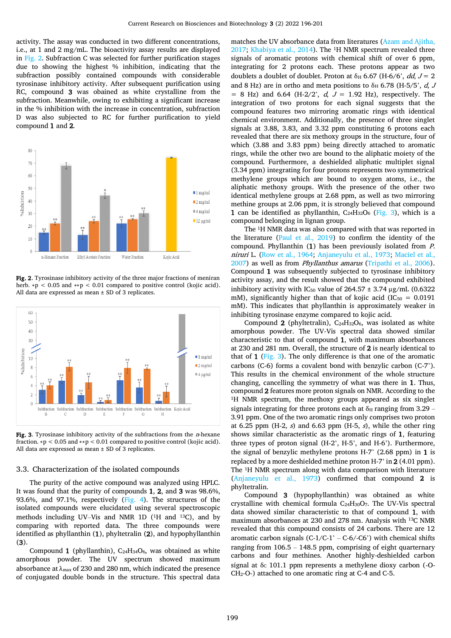activity. The assay was conducted in two different concentrations, i.e., at 1 and 2 mg/mL. The bioactivity assay results are displayed in [Fig.](#page-3-0) 2. Subfraction C was selected for further purification stages due to showing the highest % inhibition, indicating that the subfraction possibly contained compounds with considerable tyrosinase inhibitory activity. After subsequent purification using RC, compound 3 was obained as white crystalline from the subfraction. Meanwhile, owing to exhibiting a significant increase in the % inhibition with the increase in concentration, subfraction D was also subjected to RC for further purification to yield compound 1 and 2.



<span id="page-3-0"></span>Fig. 2. Tyrosinase inhibitory activity of the three major fractions of meniran herb.  $\ast p < 0.05$  and  $\ast \ast p < 0.01$  compared to positive control (kojic acid). All data are expressed as mean ± SD of 3 replicates.



<span id="page-3-1"></span>Fig. 3. Tyrosinase inhibitory activity of the subfractions from the  $n$ -hexane fraction. ∗p < 0.05 and ∗∗p < 0.01 compared to positive control (kojic acid). All data are expressed as mean ± SD of 3 replicates.

#### 3.3. Characterization of the isolated compounds

The purity of the active compound was analyzed using HPLC. It was found that the purity of compounds 1, 2, and 3 was 98.6%, 93.6%, and 97.1%, respectively [\(Fig.](#page-4-0) 4). The structures of the isolated compounds were elucidated using several spectroscopic methods including UV–Vis and NMR 1D (1H and 13C), and by comparing with reported data. The three compounds were identified as phyllanthin (1), phyltetralin (2), and hypophyllanthin (3).

Compound 1 (phyllanthin),  $C_{24}H_{34}O_6$ , was obtained as white amorphous powder. The UV spectrum showed maximum absorbance at  $\lambda_{\text{max}}$  of 230 and 280 nm, which indicated the presence of conjugated double bonds in the structure. This spectral data matches the UV absorbance data from literatures [\(Azam and Ajitha,](#page-5-33)  [2017;](#page-5-33) [Khabiya et al., 2014\)](#page-5-27). The 1H NMR spectrum revealed three signals of aromatic protons with chemical shift of over 6 ppm, integrating for 2 protons each. These protons appear as two doublets a doublet of doublet. Proton at  $\delta_H$  6.67 (H-6/6', *dd*, *J* = 2 and 8 Hz) are in ortho and meta positions to  $\delta_H$  6.78 (H-5/5', d, J  $= 8$  Hz) and 6.64 (H-2/2',  $d, J = 1.92$  Hz), respectively. The integration of two protons for each signal suggests that the compound features two mirroring aromatic rings with identical chemical environment. Additionally, the presence of three singlet signals at 3.88, 3.83, and 3.32 ppm constituting 6 protons each revealed that there are six methoxy groups in the structure, four of which (3.88 and 3.83 ppm) being directly attached to aromatic rings, while the other two are bound to the aliphatic moiety of the compound. Furthermore, a deshielded aliphatic multiplet signal (3.34 ppm) integrating for four protons represents two symmetrical methylene groups which are bound to oxygen atoms, i.e., the aliphatic methoxy groups. With the presence of the other two identical methylene groups at 2.68 ppm, as well as two mirroring methine groups at 2.06 ppm, it is strongly believed that compound 1 can be identified as phyllanthin,  $C_{24}H_{32}O_6$  [\(Fig.](#page-3-1) 3), which is a compound belonging in lignan group.

The 1H NMR data was also compared with that was reported in the literature [\(Paul et al., 2019\)](#page-5-34) to confirm the identity of the compound. Phyllanthin (1) has been previously isolated from P. niruri L. [\(Row et al., 1964;](#page-5-35) [Anjaneyulu et al., 1973;](#page-5-36) [Maciel et al.,](#page-5-37)  [2007\)](#page-5-37) as well as from Phyllanthus amarus [\(Tripathi et al., 2006\)](#page-5-38). Compound 1 was subsequently subjected to tyrosinase inhibitory activity assay, and the result showed that the compound exhibited inhibitory activity with IC<sub>50</sub> value of  $264.57 \pm 3.74$  ug/mL (0.6322) mM), significantly higher than that of kojic acid ( $IC_{50} = 0.0191$ ) mM). This indicates that phyllanthin is approximately weaker in inhibiting tyrosinase enzyme compared to kojic acid.

Compound 2 (phyltetralin),  $C_{24}H_{32}O_6$ , was isolated as white amorphous powder. The UV-Vis spectral data showed similar characteristic to that of compound 1, with maximum absorbances at 230 and 281 nm. Overall, the structure of 2 is nearly identical to that of 1 ( $Fig. 3$ ). The only difference is that one of the aromatic carbons (C-6) forms a covalent bond with benzylic carbon (C-7'). This results in the chemical environment of the whole structure changing, cancelling the symmetry of what was there in 1. Thus, compound 2 features more proton signals on NMR. According to the <sup>1</sup>H NMR spectrum, the methoxy groups appeared as six singlet signals integrating for three protons each at  $\delta_H$  ranging from 3.29 – 3.91 ppm. One of the two aromatic rings only comprises two proton at 6.25 ppm (H-2,  $s$ ) and 6.63 ppm (H-5,  $s$ ), while the other ring shows similar characteristic as the aromatic rings of 1, featuring three types of proton signal (H-2', H-5', and H-6'). Furthermore, the signal of benzylic methylene protons H-7' (2.68 ppm) in 1 is replaced by a more deshielded methine proton H-7' in 2 (4.01 ppm). The 1H NMR spectrum along with data comparison with literature [\(Anjaneyulu et al., 1973\)](#page-5-36) confirmed that compound 2 is phyltetralin.

Compound 3 (hypophyllanthin) was obtained as white crystalline with chemical formula C24H30O7. The UV-Vis spectral data showed similar characteristic to that of compound 1, with maximum absorbances at 230 and 278 nm. Analysis with 13C NMR revealed that this compound consists of 24 carbons. There are 12 aromatic carbon signals  $(C-1/C-1) - C-6$ / $-C6$ ) with chemical shifts ranging from 106.5 – 148.5 ppm, comprising of eight quarternary carbons and four methines. Another highly-deshielded carbon signal at  $\delta_c$  101.1 ppm represents a methylene dioxy carbon (-O-CH2-O-) attached to one aromatic ring at C-4 and C-5.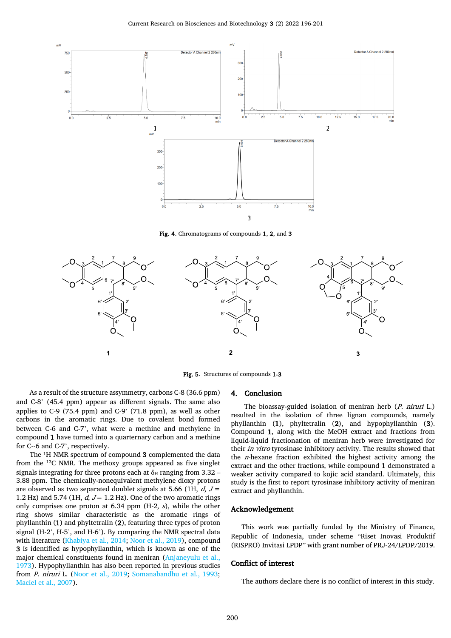

Fig. 4. Chromatograms of compounds 1, 2, and 3

<span id="page-4-0"></span>

Fig. 5. Structures of compounds 1-3

#### 4. Conclusion

As a result of the structure assymmetry, carbons C-8 (36.6 ppm) and C-8' (45.4 ppm) appear as different signals. The same also applies to C-9 (75.4 ppm) and C-9' (71.8 ppm), as well as other carbons in the aromatic rings. Due to covalent bond formed between C-6 and C-7', what were a methine and methylene in compound 1 have turned into a quarternary carbon and a methine for C--6 and C-7', respectively.

The  $1H$  NMR spectrum of compound 3 complemented the data from the 13C NMR. The methoxy groups appeared as five singlet signals integrating for three protons each at  $\delta_H$  ranging from 3.32 – 3.88 ppm. The chemically-nonequivalent methylene dioxy protons are observed as two separated doublet signals at 5.66 (1H,  $d, J =$ 1.2 Hz) and 5.74 (1H,  $d, J = 1.2$  Hz). One of the two aromatic rings only comprises one proton at 6.34 ppm  $(H-2, s)$ , while the other ring shows similar characteristic as the aromatic rings of phyllanthin (1) and phyltetralin (2), featuring three types of proton signal (H-2', H-5', and H-6'). By comparing the NMR spectral data with literature [\(Khabiya et al., 2014;](#page-5-27) [Noor et al., 2019\)](#page-5-39), compound 3 is identified as hypophyllanthin, which is known as one of the major chemical constituents found in meniran [\(Anjaneyulu et al.,](#page-5-36)  [1973\)](#page-5-36). Hypophyllanthin has also been reported in previous studies from P. niruri L. [\(Noor et al., 2019;](#page-5-39) [Somanabandhu et al., 1993;](#page-5-40) [Maciel et al., 2007\)](#page-5-37).

The bioassay-guided isolation of meniran herb (P. niruri L.) resulted in the isolation of three lignan compounds, namely phyllanthin (1), phyltetralin (2), and hypophyllanthin (3). Compound 1, along with the MeOH extract and fractions from liquid-liquid fractionation of meniran herb were investigated for their *in vitro* tyrosinase inhibitory activity. The results showed that the *n*-hexane fraction exhibited the highest activity among the extract and the other fractions, while compound 1 demonstrated a weaker activity compared to kojic acid standard. Ultimately, this study is the first to report tyrosinase inhibitory activity of meniran extract and phyllanthin.

## Acknowledgement

This work was partially funded by the Ministry of Finance, Republic of Indonesia, under scheme "Riset Inovasi Produktif (RISPRO) Invitasi LPDP" with grant number of PRJ-24/LPDP/2019.

#### Conflict of interest

The authors declare there is no conflict of interest in this study.